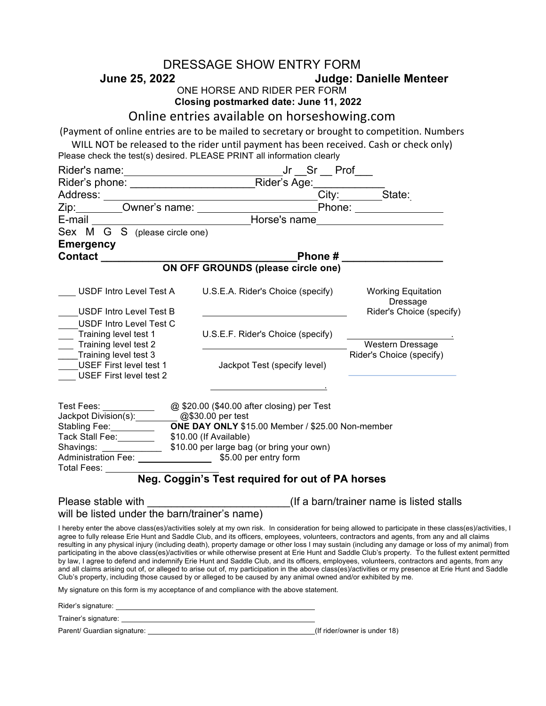|                                                                                                                                            | DRESSAGE SHOW ENTRY FORM                                                               |                                                                                                                                                                                                                                                                                                                                                                                                                                                                                                                                                                                                                                                                                                                                                                                                                                                                                                                          |
|--------------------------------------------------------------------------------------------------------------------------------------------|----------------------------------------------------------------------------------------|--------------------------------------------------------------------------------------------------------------------------------------------------------------------------------------------------------------------------------------------------------------------------------------------------------------------------------------------------------------------------------------------------------------------------------------------------------------------------------------------------------------------------------------------------------------------------------------------------------------------------------------------------------------------------------------------------------------------------------------------------------------------------------------------------------------------------------------------------------------------------------------------------------------------------|
| <b>Judge: Danielle Menteer</b><br>June 25, 2022                                                                                            |                                                                                        |                                                                                                                                                                                                                                                                                                                                                                                                                                                                                                                                                                                                                                                                                                                                                                                                                                                                                                                          |
| ONE HORSE AND RIDER PER FORM<br>Closing postmarked date: June 11, 2022                                                                     |                                                                                        |                                                                                                                                                                                                                                                                                                                                                                                                                                                                                                                                                                                                                                                                                                                                                                                                                                                                                                                          |
| Online entries available on horseshowing.com                                                                                               |                                                                                        |                                                                                                                                                                                                                                                                                                                                                                                                                                                                                                                                                                                                                                                                                                                                                                                                                                                                                                                          |
| (Payment of online entries are to be mailed to secretary or brought to competition. Numbers                                                |                                                                                        |                                                                                                                                                                                                                                                                                                                                                                                                                                                                                                                                                                                                                                                                                                                                                                                                                                                                                                                          |
|                                                                                                                                            | WILL NOT be released to the rider until payment has been received. Cash or check only) |                                                                                                                                                                                                                                                                                                                                                                                                                                                                                                                                                                                                                                                                                                                                                                                                                                                                                                                          |
| Please check the test(s) desired. PLEASE PRINT all information clearly                                                                     |                                                                                        |                                                                                                                                                                                                                                                                                                                                                                                                                                                                                                                                                                                                                                                                                                                                                                                                                                                                                                                          |
|                                                                                                                                            |                                                                                        |                                                                                                                                                                                                                                                                                                                                                                                                                                                                                                                                                                                                                                                                                                                                                                                                                                                                                                                          |
|                                                                                                                                            |                                                                                        |                                                                                                                                                                                                                                                                                                                                                                                                                                                                                                                                                                                                                                                                                                                                                                                                                                                                                                                          |
|                                                                                                                                            |                                                                                        |                                                                                                                                                                                                                                                                                                                                                                                                                                                                                                                                                                                                                                                                                                                                                                                                                                                                                                                          |
| Address: City: State:<br>Zip: Owner's name: Phone: Phone: Name: Phone:                                                                     |                                                                                        |                                                                                                                                                                                                                                                                                                                                                                                                                                                                                                                                                                                                                                                                                                                                                                                                                                                                                                                          |
| E-mail <b>E-mail E-mail E-mail</b>                                                                                                         |                                                                                        |                                                                                                                                                                                                                                                                                                                                                                                                                                                                                                                                                                                                                                                                                                                                                                                                                                                                                                                          |
| Sex M G S (please circle one)                                                                                                              |                                                                                        |                                                                                                                                                                                                                                                                                                                                                                                                                                                                                                                                                                                                                                                                                                                                                                                                                                                                                                                          |
| <b>Emergency</b>                                                                                                                           |                                                                                        |                                                                                                                                                                                                                                                                                                                                                                                                                                                                                                                                                                                                                                                                                                                                                                                                                                                                                                                          |
| <b>Contact Contact</b>                                                                                                                     |                                                                                        |                                                                                                                                                                                                                                                                                                                                                                                                                                                                                                                                                                                                                                                                                                                                                                                                                                                                                                                          |
|                                                                                                                                            | ON OFF GROUNDS (please circle one)                                                     |                                                                                                                                                                                                                                                                                                                                                                                                                                                                                                                                                                                                                                                                                                                                                                                                                                                                                                                          |
| USDF Intro Level Test A                                                                                                                    | U.S.E.A. Rider's Choice (specify) Working Equitation                                   | Dressage                                                                                                                                                                                                                                                                                                                                                                                                                                                                                                                                                                                                                                                                                                                                                                                                                                                                                                                 |
| USDF Intro Level Test B                                                                                                                    |                                                                                        | Rider's Choice (specify)                                                                                                                                                                                                                                                                                                                                                                                                                                                                                                                                                                                                                                                                                                                                                                                                                                                                                                 |
| USDF Intro Level Test C                                                                                                                    |                                                                                        |                                                                                                                                                                                                                                                                                                                                                                                                                                                                                                                                                                                                                                                                                                                                                                                                                                                                                                                          |
| Training level test 1<br>Training level test 2                                                                                             | U.S.E.F. Rider's Choice (specify)                                                      | Western Dressage                                                                                                                                                                                                                                                                                                                                                                                                                                                                                                                                                                                                                                                                                                                                                                                                                                                                                                         |
| Training level test 3                                                                                                                      |                                                                                        | Rider's Choice (specify)                                                                                                                                                                                                                                                                                                                                                                                                                                                                                                                                                                                                                                                                                                                                                                                                                                                                                                 |
| USEF First level test 1<br><b>USEF First level test 2</b>                                                                                  | Jackpot Test (specify level)                                                           |                                                                                                                                                                                                                                                                                                                                                                                                                                                                                                                                                                                                                                                                                                                                                                                                                                                                                                                          |
|                                                                                                                                            |                                                                                        |                                                                                                                                                                                                                                                                                                                                                                                                                                                                                                                                                                                                                                                                                                                                                                                                                                                                                                                          |
| Test Fees: ________________ @ \$20.00 (\$40.00 after closing) per Test<br>Jackpot Division(s): 200830.00 per test                          |                                                                                        |                                                                                                                                                                                                                                                                                                                                                                                                                                                                                                                                                                                                                                                                                                                                                                                                                                                                                                                          |
| Stabling Fee: 7 The DAY ONLY \$15.00 Member / \$25.00 Non-member<br>Tack Stall Fee: \$10.00 (If Available)                                 |                                                                                        |                                                                                                                                                                                                                                                                                                                                                                                                                                                                                                                                                                                                                                                                                                                                                                                                                                                                                                                          |
|                                                                                                                                            |                                                                                        |                                                                                                                                                                                                                                                                                                                                                                                                                                                                                                                                                                                                                                                                                                                                                                                                                                                                                                                          |
| Total Fees: _________                                                                                                                      |                                                                                        |                                                                                                                                                                                                                                                                                                                                                                                                                                                                                                                                                                                                                                                                                                                                                                                                                                                                                                                          |
|                                                                                                                                            | Neg. Coggin's Test required for out of PA horses                                       |                                                                                                                                                                                                                                                                                                                                                                                                                                                                                                                                                                                                                                                                                                                                                                                                                                                                                                                          |
| Please stable with _________________________________(If a barn/trainer name is listed stalls will be listed under the barn/trainer's name) |                                                                                        |                                                                                                                                                                                                                                                                                                                                                                                                                                                                                                                                                                                                                                                                                                                                                                                                                                                                                                                          |
|                                                                                                                                            |                                                                                        |                                                                                                                                                                                                                                                                                                                                                                                                                                                                                                                                                                                                                                                                                                                                                                                                                                                                                                                          |
| Club's property, including those caused by or alleged to be caused by any animal owned and/or exhibited by me.                             |                                                                                        | I hereby enter the above class(es)/activities solely at my own risk. In consideration for being allowed to participate in these class(es)/activities, I<br>agree to fully release Erie Hunt and Saddle Club, and its officers, employees, volunteers, contractors and agents, from any and all claims<br>resulting in any physical injury (including death), property damage or other loss I may sustain (including any damage or loss of my animal) from<br>participating in the above class(es)/activities or while otherwise present at Erie Hunt and Saddle Club's property. To the fullest extent permitted<br>by law, I agree to defend and indemnify Erie Hunt and Saddle Club, and its officers, employees, volunteers, contractors and agents, from any<br>and all claims arising out of, or alleged to arise out of, my participation in the above class(es)/activities or my presence at Erie Hunt and Saddle |
| My signature on this form is my acceptance of and compliance with the above statement.                                                     |                                                                                        |                                                                                                                                                                                                                                                                                                                                                                                                                                                                                                                                                                                                                                                                                                                                                                                                                                                                                                                          |
|                                                                                                                                            |                                                                                        |                                                                                                                                                                                                                                                                                                                                                                                                                                                                                                                                                                                                                                                                                                                                                                                                                                                                                                                          |
|                                                                                                                                            |                                                                                        |                                                                                                                                                                                                                                                                                                                                                                                                                                                                                                                                                                                                                                                                                                                                                                                                                                                                                                                          |
|                                                                                                                                            |                                                                                        |                                                                                                                                                                                                                                                                                                                                                                                                                                                                                                                                                                                                                                                                                                                                                                                                                                                                                                                          |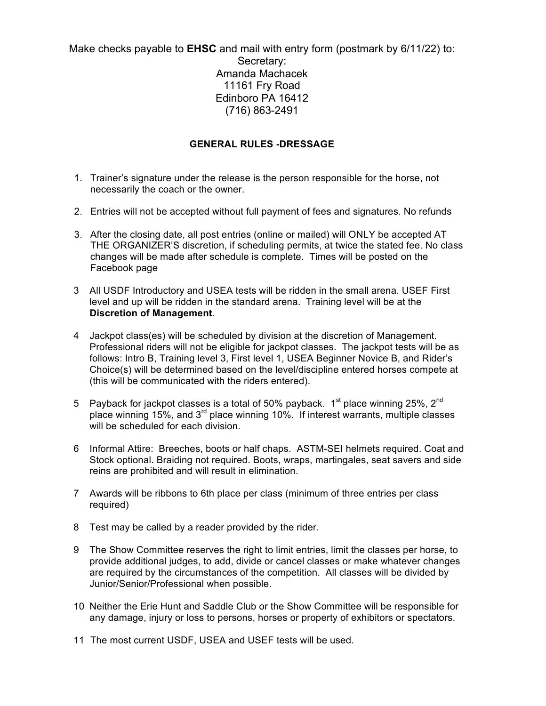Make checks payable to **EHSC** and mail with entry form (postmark by 6/11/22) to: Secretary: Amanda Machacek 11161 Fry Road Edinboro PA 16412 (716) 863-2491

## **GENERAL RULES -DRESSAGE**

- 1. Trainer's signature under the release is the person responsible for the horse, not necessarily the coach or the owner.
- 2. Entries will not be accepted without full payment of fees and signatures. No refunds
- 3. After the closing date, all post entries (online or mailed) will ONLY be accepted AT THE ORGANIZER'S discretion, if scheduling permits, at twice the stated fee. No class changes will be made after schedule is complete. Times will be posted on the Facebook page
- 3 All USDF Introductory and USEA tests will be ridden in the small arena. USEF First level and up will be ridden in the standard arena. Training level will be at the **Discretion of Management**.
- 4 Jackpot class(es) will be scheduled by division at the discretion of Management. Professional riders will not be eligible for jackpot classes. The jackpot tests will be as follows: Intro B, Training level 3, First level 1, USEA Beginner Novice B, and Rider's Choice(s) will be determined based on the level/discipline entered horses compete at (this will be communicated with the riders entered).
- 5 Payback for jackpot classes is a total of 50% payback.  $1<sup>st</sup>$  place winning 25%,  $2<sup>nd</sup>$ place winning 15%, and 3rd place winning 10%. If interest warrants, multiple classes will be scheduled for each division.
- 6 Informal Attire: Breeches, boots or half chaps. ASTM-SEI helmets required. Coat and Stock optional. Braiding not required. Boots, wraps, martingales, seat savers and side reins are prohibited and will result in elimination.
- 7 Awards will be ribbons to 6th place per class (minimum of three entries per class required)
- 8 Test may be called by a reader provided by the rider.
- 9 The Show Committee reserves the right to limit entries, limit the classes per horse, to provide additional judges, to add, divide or cancel classes or make whatever changes are required by the circumstances of the competition. All classes will be divided by Junior/Senior/Professional when possible.
- 10 Neither the Erie Hunt and Saddle Club or the Show Committee will be responsible for any damage, injury or loss to persons, horses or property of exhibitors or spectators.
- 11 The most current USDF, USEA and USEF tests will be used.